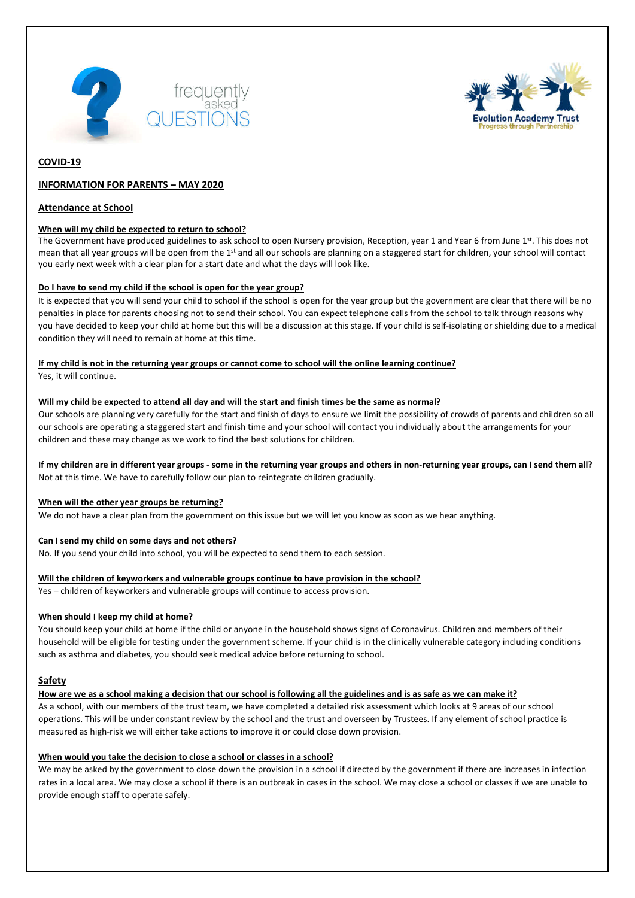



## **COVID-19**

## **INFORMATION FOR PARENTS – MAY 2020**

#### **Attendance at School**

#### **When will my child be expected to return to school?**

The Government have produced guidelines to ask school to open Nursery provision, Reception, year 1 and Year 6 from June 1st. This does not mean that all year groups will be open from the 1<sup>st</sup> and all our schools are planning on a staggered start for children, your school will contact you early next week with a clear plan for a start date and what the days will look like.

#### **Do I have to send my child if the school is open for the year group?**

It is expected that you will send your child to school if the school is open for the year group but the government are clear that there will be no penalties in place for parents choosing not to send their school. You can expect telephone calls from the school to talk through reasons why you have decided to keep your child at home but this will be a discussion at this stage. If your child is self-isolating or shielding due to a medical condition they will need to remain at home at this time.

#### **If my child is not in the returning year groups or cannot come to school will the online learning continue?** Yes, it will continue.

#### **Will my child be expected to attend all day and will the start and finish times be the same as normal?**

Our schools are planning very carefully for the start and finish of days to ensure we limit the possibility of crowds of parents and children so all our schools are operating a staggered start and finish time and your school will contact you individually about the arrangements for your children and these may change as we work to find the best solutions for children.

# **If my children are in different year groups - some in the returning year groups and others in non-returning year groups, can I send them all?**

Not at this time. We have to carefully follow our plan to reintegrate children gradually.

#### **When will the other year groups be returning?**

We do not have a clear plan from the government on this issue but we will let you know as soon as we hear anything.

### **Can I send my child on some days and not others?**

No. If you send your child into school, you will be expected to send them to each session.

### **Will the children of keyworkers and vulnerable groups continue to have provision in the school?**

Yes – children of keyworkers and vulnerable groups will continue to access provision.

### **When should I keep my child at home?**

You should keep your child at home if the child or anyone in the household shows signs of Coronavirus. Children and members of their household will be eligible for testing under the government scheme. If your child is in the clinically vulnerable category including conditions such as asthma and diabetes, you should seek medical advice before returning to school.

### **Safety**

**How are we as a school making a decision that our school is following all the guidelines and is as safe as we can make it?**

As a school, with our members of the trust team, we have completed a detailed risk assessment which looks at 9 areas of our school operations. This will be under constant review by the school and the trust and overseen by Trustees. If any element of school practice is measured as high-risk we will either take actions to improve it or could close down provision.

### **When would you take the decision to close a school or classes in a school?**

We may be asked by the government to close down the provision in a school if directed by the government if there are increases in infection rates in a local area. We may close a school if there is an outbreak in cases in the school. We may close a school or classes if we are unable to provide enough staff to operate safely.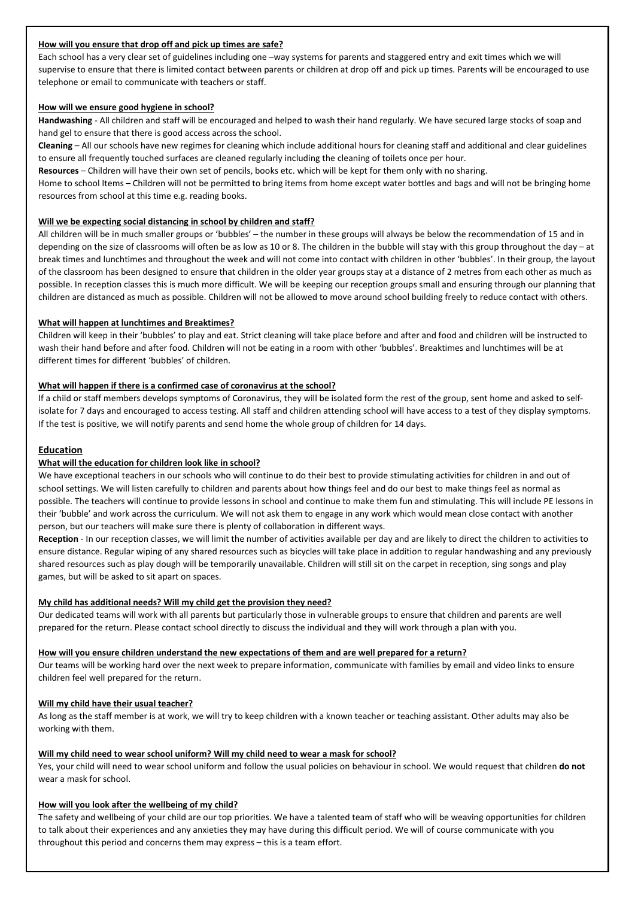### **How will you ensure that drop off and pick up times are safe?**

Each school has a very clear set of guidelines including one –way systems for parents and staggered entry and exit times which we will supervise to ensure that there is limited contact between parents or children at drop off and pick up times. Parents will be encouraged to use telephone or email to communicate with teachers or staff.

### **How will we ensure good hygiene in school?**

**Handwashing** - All children and staff will be encouraged and helped to wash their hand regularly. We have secured large stocks of soap and hand gel to ensure that there is good access across the school.

**Cleaning** – All our schools have new regimes for cleaning which include additional hours for cleaning staff and additional and clear guidelines to ensure all frequently touched surfaces are cleaned regularly including the cleaning of toilets once per hour.

**Resources** – Children will have their own set of pencils, books etc. which will be kept for them only with no sharing.

Home to school Items – Children will not be permitted to bring items from home except water bottles and bags and will not be bringing home resources from school at this time e.g. reading books.

### **Will we be expecting social distancing in school by children and staff?**

All children will be in much smaller groups or 'bubbles' – the number in these groups will always be below the recommendation of 15 and in depending on the size of classrooms will often be as low as 10 or 8. The children in the bubble will stay with this group throughout the day – at break times and lunchtimes and throughout the week and will not come into contact with children in other 'bubbles'. In their group, the layout of the classroom has been designed to ensure that children in the older year groups stay at a distance of 2 metres from each other as much as possible. In reception classes this is much more difficult. We will be keeping our reception groups small and ensuring through our planning that children are distanced as much as possible. Children will not be allowed to move around school building freely to reduce contact with others.

## **What will happen at lunchtimes and Breaktimes?**

Children will keep in their 'bubbles' to play and eat. Strict cleaning will take place before and after and food and children will be instructed to wash their hand before and after food. Children will not be eating in a room with other 'bubbles'. Breaktimes and lunchtimes will be at different times for different 'bubbles' of children.

## **What will happen if there is a confirmed case of coronavirus at the school?**

If a child or staff members develops symptoms of Coronavirus, they will be isolated form the rest of the group, sent home and asked to selfisolate for 7 days and encouraged to access testing. All staff and children attending school will have access to a test of they display symptoms. If the test is positive, we will notify parents and send home the whole group of children for 14 days.

# **Education**

# **What will the education for children look like in school?**

We have exceptional teachers in our schools who will continue to do their best to provide stimulating activities for children in and out of school settings. We will listen carefully to children and parents about how things feel and do our best to make things feel as normal as possible. The teachers will continue to provide lessons in school and continue to make them fun and stimulating. This will include PE lessons in their 'bubble' and work across the curriculum. We will not ask them to engage in any work which would mean close contact with another person, but our teachers will make sure there is plenty of collaboration in different ways.

**Reception** - In our reception classes, we will limit the number of activities available per day and are likely to direct the children to activities to ensure distance. Regular wiping of any shared resources such as bicycles will take place in addition to regular handwashing and any previously shared resources such as play dough will be temporarily unavailable. Children will still sit on the carpet in reception, sing songs and play games, but will be asked to sit apart on spaces.

# **My child has additional needs? Will my child get the provision they need?**

Our dedicated teams will work with all parents but particularly those in vulnerable groups to ensure that children and parents are well prepared for the return. Please contact school directly to discuss the individual and they will work through a plan with you.

# **How will you ensure children understand the new expectations of them and are well prepared for a return?**

Our teams will be working hard over the next week to prepare information, communicate with families by email and video links to ensure children feel well prepared for the return.

# **Will my child have their usual teacher?**

As long as the staff member is at work, we will try to keep children with a known teacher or teaching assistant. Other adults may also be working with them.

### **Will my child need to wear school uniform? Will my child need to wear a mask for school?**

Yes, your child will need to wear school uniform and follow the usual policies on behaviour in school. We would request that children **do not** wear a mask for school.

# **How will you look after the wellbeing of my child?**

The safety and wellbeing of your child are our top priorities. We have a talented team of staff who will be weaving opportunities for children to talk about their experiences and any anxieties they may have during this difficult period. We will of course communicate with you throughout this period and concerns them may express – this is a team effort.